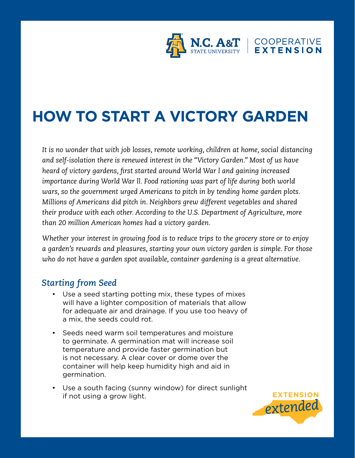

# **HOW TO START A VICTORY GARDEN**

*It is no wonder that with job losses, remote working, children at home, social distancing and self-isolation there is renewed interest in the "Victory Garden." Most of us have heard of victory gardens, first started around World War l and gaining increased importance during World War ll. Food rationing was part of life during both world wars, so the government urged Americans to pitch in by tending home garden plots. Millions of Americans did pitch in. Neighbors grew different vegetables and shared their produce with each other. According to the U.S. Department of Agriculture, more than 20 million American homes had a victory garden.* 

*Whether your interest in growing food is to reduce trips to the grocery store or to enjoy a garden's rewards and pleasures, starting your own victory garden is simple. For those who do not have a garden spot available, container gardening is a great alternative.*

#### *Starting from Seed*

- Use a seed starting potting mix, these types of mixes will have a lighter composition of materials that allow for adequate air and drainage. If you use too heavy of a mix, the seeds could rot.
- Seeds need warm soil temperatures and moisture to germinate. A germination mat will increase soil temperature and provide faster germination but is not necessary. A clear cover or dome over the container will help keep humidity high and aid in germination.
- Use a south facing (sunny window) for direct sunlight if not using a grow light.

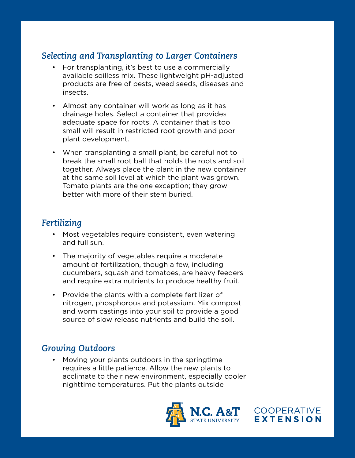### *Selecting and Transplanting to Larger Containers*

- For transplanting, it's best to use a commercially available soilless mix. These lightweight pH-adjusted products are free of pests, weed seeds, diseases and insects.
- Almost any container will work as long as it has drainage holes. Select a container that provides adequate space for roots. A container that is too small will result in restricted root growth and poor plant development.
- When transplanting a small plant, be careful not to break the small root ball that holds the roots and soil together. Always place the plant in the new container at the same soil level at which the plant was grown. Tomato plants are the one exception; they grow better with more of their stem buried.

## *Fertilizing*

- Most vegetables require consistent, even watering and full sun.
- The majority of vegetables require a moderate amount of fertilization, though a few, including cucumbers, squash and tomatoes, are heavy feeders and require extra nutrients to produce healthy fruit.
- Provide the plants with a complete fertilizer of nitrogen, phosphorous and potassium. Mix compost and worm castings into your soil to provide a good source of slow release nutrients and build the soil.

### *Growing Outdoors*

• Moving your plants outdoors in the springtime requires a little patience. Allow the new plants to acclimate to their new environment, especially cooler nighttime temperatures. Put the plants outside



| COOPERATIVE<br>| EXTENSION